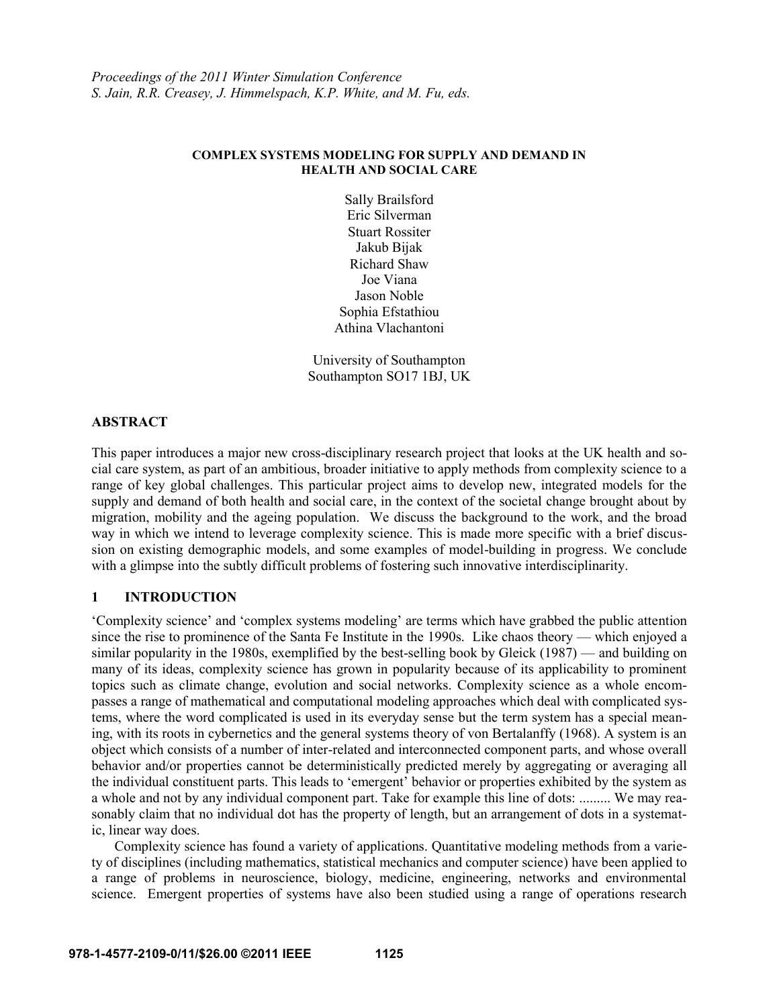### **COMPLEX SYSTEMS MODELING FOR SUPPLY AND DEMAND IN HEALTH AND SOCIAL CARE**

Sally Brailsford Eric Silverman Stuart Rossiter Jakub Bijak Richard Shaw Joe Viana Jason Noble Sophia Efstathiou Athina Vlachantoni

University of Southampton Southampton SO17 1BJ, UK

### **ABSTRACT**

This paper introduces a major new cross-disciplinary research project that looks at the UK health and social care system, as part of an ambitious, broader initiative to apply methods from complexity science to a range of key global challenges. This particular project aims to develop new, integrated models for the supply and demand of both health and social care, in the context of the societal change brought about by migration, mobility and the ageing population. We discuss the background to the work, and the broad way in which we intend to leverage complexity science. This is made more specific with a brief discussion on existing demographic models, and some examples of model-building in progress. We conclude with a glimpse into the subtly difficult problems of fostering such innovative interdisciplinarity.

## **1 INTRODUCTION**

‗Complexity science' and ‗complex systems modeling' are terms which have grabbed the public attention since the rise to prominence of the Santa Fe Institute in the 1990s. Like chaos theory — which enjoyed a similar popularity in the 1980s, exemplified by the best-selling book by Gleick (1987) — and building on many of its ideas, complexity science has grown in popularity because of its applicability to prominent topics such as climate change, evolution and social networks. Complexity science as a whole encompasses a range of mathematical and computational modeling approaches which deal with complicated systems, where the word complicated is used in its everyday sense but the term system has a special meaning, with its roots in cybernetics and the general systems theory of von Bertalanffy (1968). A system is an object which consists of a number of inter-related and interconnected component parts, and whose overall behavior and/or properties cannot be deterministically predicted merely by aggregating or averaging all the individual constituent parts. This leads to ‗emergent' behavior or properties exhibited by the system as a whole and not by any individual component part. Take for example this line of dots: ......... We may reasonably claim that no individual dot has the property of length, but an arrangement of dots in a systematic, linear way does.

 Complexity science has found a variety of applications. Quantitative modeling methods from a variety of disciplines (including mathematics, statistical mechanics and computer science) have been applied to a range of problems in neuroscience, biology, medicine, engineering, networks and environmental science. Emergent properties of systems have also been studied using a range of operations research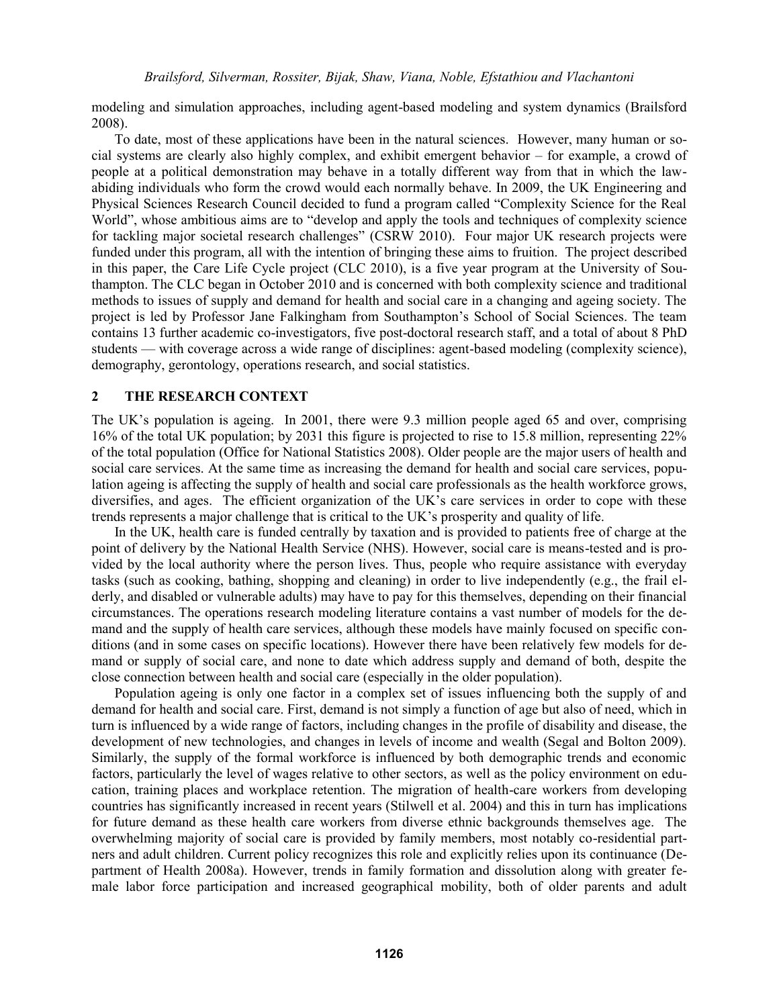modeling and simulation approaches, including agent-based modeling and system dynamics (Brailsford 2008).

 To date, most of these applications have been in the natural sciences. However, many human or social systems are clearly also highly complex, and exhibit emergent behavior – for example, a crowd of people at a political demonstration may behave in a totally different way from that in which the lawabiding individuals who form the crowd would each normally behave. In 2009, the UK Engineering and Physical Sciences Research Council decided to fund a program called "Complexity Science for the Real World", whose ambitious aims are to "develop and apply the tools and techniques of complexity science for tackling major societal research challenges" (CSRW 2010). Four major UK research projects were funded under this program, all with the intention of bringing these aims to fruition. The project described in this paper, the Care Life Cycle project (CLC 2010), is a five year program at the University of Southampton. The CLC began in October 2010 and is concerned with both complexity science and traditional methods to issues of supply and demand for health and social care in a changing and ageing society. The project is led by Professor Jane Falkingham from Southampton's School of Social Sciences. The team contains 13 further academic co-investigators, five post-doctoral research staff, and a total of about 8 PhD students — with coverage across a wide range of disciplines: agent-based modeling (complexity science), demography, gerontology, operations research, and social statistics.

### **2 THE RESEARCH CONTEXT**

The UK's population is ageing. In 2001, there were 9.3 million people aged 65 and over, comprising 16% of the total UK population; by 2031 this figure is projected to rise to 15.8 million, representing 22% of the total population (Office for National Statistics 2008). Older people are the major users of health and social care services. At the same time as increasing the demand for health and social care services, population ageing is affecting the supply of health and social care professionals as the health workforce grows, diversifies, and ages. The efficient organization of the UK's care services in order to cope with these trends represents a major challenge that is critical to the UK's prosperity and quality of life.

In the UK, health care is funded centrally by taxation and is provided to patients free of charge at the point of delivery by the National Health Service (NHS). However, social care is means-tested and is provided by the local authority where the person lives. Thus, people who require assistance with everyday tasks (such as cooking, bathing, shopping and cleaning) in order to live independently (e.g., the frail elderly, and disabled or vulnerable adults) may have to pay for this themselves, depending on their financial circumstances. The operations research modeling literature contains a vast number of models for the demand and the supply of health care services, although these models have mainly focused on specific conditions (and in some cases on specific locations). However there have been relatively few models for demand or supply of social care, and none to date which address supply and demand of both, despite the close connection between health and social care (especially in the older population).

 Population ageing is only one factor in a complex set of issues influencing both the supply of and demand for health and social care. First, demand is not simply a function of age but also of need, which in turn is influenced by a wide range of factors, including changes in the profile of disability and disease, the development of new technologies, and changes in levels of income and wealth (Segal and Bolton 2009). Similarly, the supply of the formal workforce is influenced by both demographic trends and economic factors, particularly the level of wages relative to other sectors, as well as the policy environment on education, training places and workplace retention. The migration of health-care workers from developing countries has significantly increased in recent years (Stilwell et al. 2004) and this in turn has implications for future demand as these health care workers from diverse ethnic backgrounds themselves age. The overwhelming majority of social care is provided by family members, most notably co-residential partners and adult children. Current policy recognizes this role and explicitly relies upon its continuance (Department of Health 2008a). However, trends in family formation and dissolution along with greater female labor force participation and increased geographical mobility, both of older parents and adult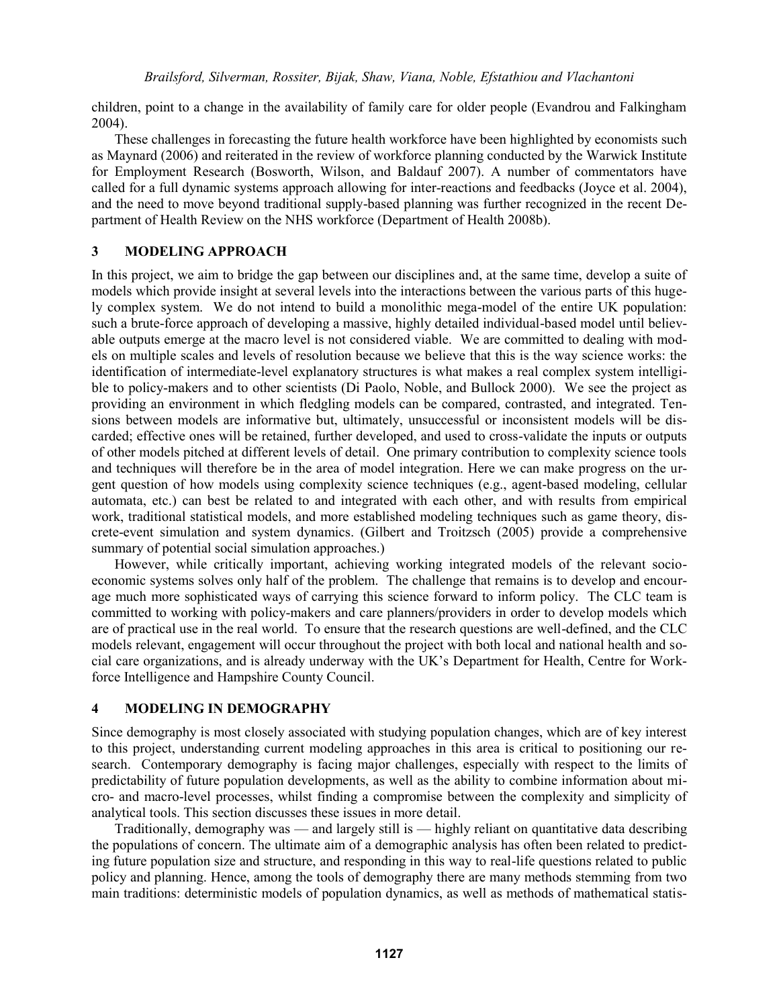children, point to a change in the availability of family care for older people (Evandrou and Falkingham 2004).

These challenges in forecasting the future health workforce have been highlighted by economists such as Maynard (2006) and reiterated in the review of workforce planning conducted by the Warwick Institute for Employment Research (Bosworth, Wilson, and Baldauf 2007). A number of commentators have called for a full dynamic systems approach allowing for inter-reactions and feedbacks (Joyce et al. 2004), and the need to move beyond traditional supply-based planning was further recognized in the recent Department of Health Review on the NHS workforce (Department of Health 2008b).

# **3 MODELING APPROACH**

In this project, we aim to bridge the gap between our disciplines and, at the same time, develop a suite of models which provide insight at several levels into the interactions between the various parts of this hugely complex system. We do not intend to build a monolithic mega-model of the entire UK population: such a brute-force approach of developing a massive, highly detailed individual-based model until believable outputs emerge at the macro level is not considered viable. We are committed to dealing with models on multiple scales and levels of resolution because we believe that this is the way science works: the identification of intermediate-level explanatory structures is what makes a real complex system intelligible to policy-makers and to other scientists (Di Paolo, Noble, and Bullock 2000). We see the project as providing an environment in which fledgling models can be compared, contrasted, and integrated. Tensions between models are informative but, ultimately, unsuccessful or inconsistent models will be discarded; effective ones will be retained, further developed, and used to cross-validate the inputs or outputs of other models pitched at different levels of detail. One primary contribution to complexity science tools and techniques will therefore be in the area of model integration. Here we can make progress on the urgent question of how models using complexity science techniques (e.g., agent-based modeling, cellular automata, etc.) can best be related to and integrated with each other, and with results from empirical work, traditional statistical models, and more established modeling techniques such as game theory, discrete-event simulation and system dynamics. (Gilbert and Troitzsch (2005) provide a comprehensive summary of potential social simulation approaches.)

 However, while critically important, achieving working integrated models of the relevant socioeconomic systems solves only half of the problem. The challenge that remains is to develop and encourage much more sophisticated ways of carrying this science forward to inform policy. The CLC team is committed to working with policy-makers and care planners/providers in order to develop models which are of practical use in the real world. To ensure that the research questions are well-defined, and the CLC models relevant, engagement will occur throughout the project with both local and national health and social care organizations, and is already underway with the UK's Department for Health, Centre for Workforce Intelligence and Hampshire County Council.

## **4 MODELING IN DEMOGRAPHY**

Since demography is most closely associated with studying population changes, which are of key interest to this project, understanding current modeling approaches in this area is critical to positioning our research. Contemporary demography is facing major challenges, especially with respect to the limits of predictability of future population developments, as well as the ability to combine information about micro- and macro-level processes, whilst finding a compromise between the complexity and simplicity of analytical tools. This section discusses these issues in more detail.

Traditionally, demography was — and largely still is — highly reliant on quantitative data describing the populations of concern. The ultimate aim of a demographic analysis has often been related to predicting future population size and structure, and responding in this way to real-life questions related to public policy and planning. Hence, among the tools of demography there are many methods stemming from two main traditions: deterministic models of population dynamics, as well as methods of mathematical statis-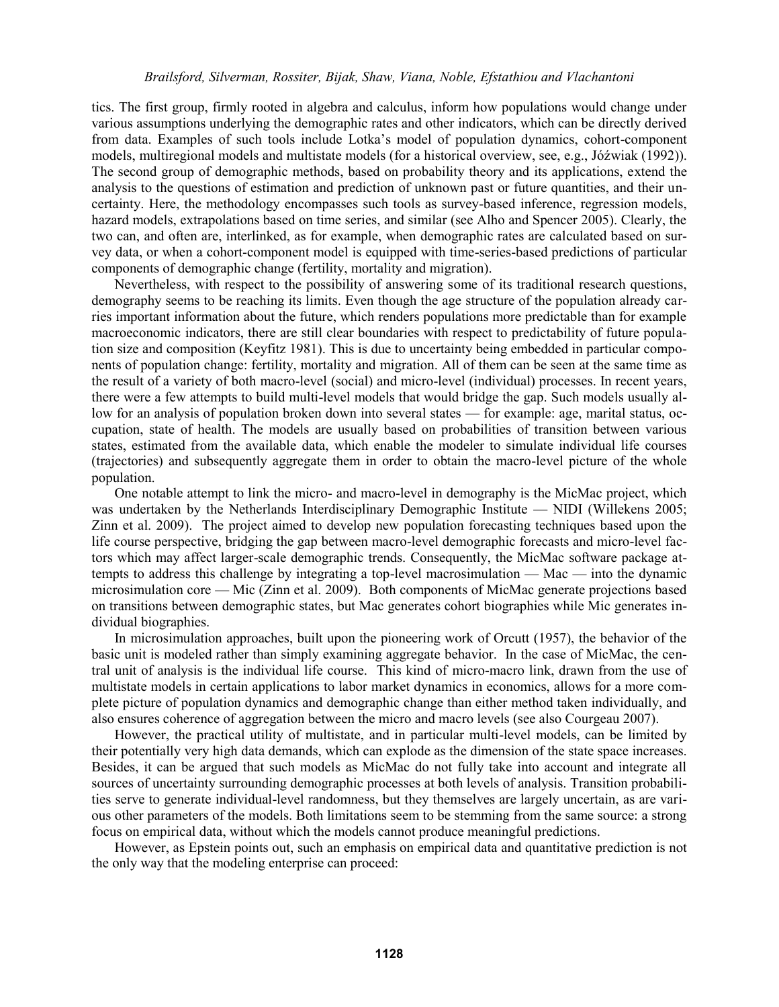tics. The first group, firmly rooted in algebra and calculus, inform how populations would change under various assumptions underlying the demographic rates and other indicators, which can be directly derived from data. Examples of such tools include Lotka's model of population dynamics, cohort-component models, multiregional models and multistate models (for a historical overview, see, e.g., Jóźwiak (1992)). The second group of demographic methods, based on probability theory and its applications, extend the analysis to the questions of estimation and prediction of unknown past or future quantities, and their uncertainty. Here, the methodology encompasses such tools as survey-based inference, regression models, hazard models, extrapolations based on time series, and similar (see Alho and Spencer 2005). Clearly, the two can, and often are, interlinked, as for example, when demographic rates are calculated based on survey data, or when a cohort-component model is equipped with time-series-based predictions of particular components of demographic change (fertility, mortality and migration).

Nevertheless, with respect to the possibility of answering some of its traditional research questions, demography seems to be reaching its limits. Even though the age structure of the population already carries important information about the future, which renders populations more predictable than for example macroeconomic indicators, there are still clear boundaries with respect to predictability of future population size and composition (Keyfitz 1981). This is due to uncertainty being embedded in particular components of population change: fertility, mortality and migration. All of them can be seen at the same time as the result of a variety of both macro-level (social) and micro-level (individual) processes. In recent years, there were a few attempts to build multi-level models that would bridge the gap. Such models usually allow for an analysis of population broken down into several states — for example: age, marital status, occupation, state of health. The models are usually based on probabilities of transition between various states, estimated from the available data, which enable the modeler to simulate individual life courses (trajectories) and subsequently aggregate them in order to obtain the macro-level picture of the whole population.

One notable attempt to link the micro- and macro-level in demography is the MicMac project, which was undertaken by the Netherlands Interdisciplinary Demographic Institute — NIDI (Willekens 2005; Zinn et al. 2009). The project aimed to develop new population forecasting techniques based upon the life course perspective, bridging the gap between macro-level demographic forecasts and micro-level factors which may affect larger-scale demographic trends. Consequently, the MicMac software package attempts to address this challenge by integrating a top-level macrosimulation — Mac — into the dynamic microsimulation core — Mic (Zinn et al. 2009). Both components of MicMac generate projections based on transitions between demographic states, but Mac generates cohort biographies while Mic generates individual biographies.

In microsimulation approaches, built upon the pioneering work of Orcutt (1957), the behavior of the basic unit is modeled rather than simply examining aggregate behavior. In the case of MicMac, the central unit of analysis is the individual life course. This kind of micro-macro link, drawn from the use of multistate models in certain applications to labor market dynamics in economics, allows for a more complete picture of population dynamics and demographic change than either method taken individually, and also ensures coherence of aggregation between the micro and macro levels (see also Courgeau 2007).

However, the practical utility of multistate, and in particular multi-level models, can be limited by their potentially very high data demands, which can explode as the dimension of the state space increases. Besides, it can be argued that such models as MicMac do not fully take into account and integrate all sources of uncertainty surrounding demographic processes at both levels of analysis. Transition probabilities serve to generate individual-level randomness, but they themselves are largely uncertain, as are various other parameters of the models. Both limitations seem to be stemming from the same source: a strong focus on empirical data, without which the models cannot produce meaningful predictions.

However, as Epstein points out, such an emphasis on empirical data and quantitative prediction is not the only way that the modeling enterprise can proceed: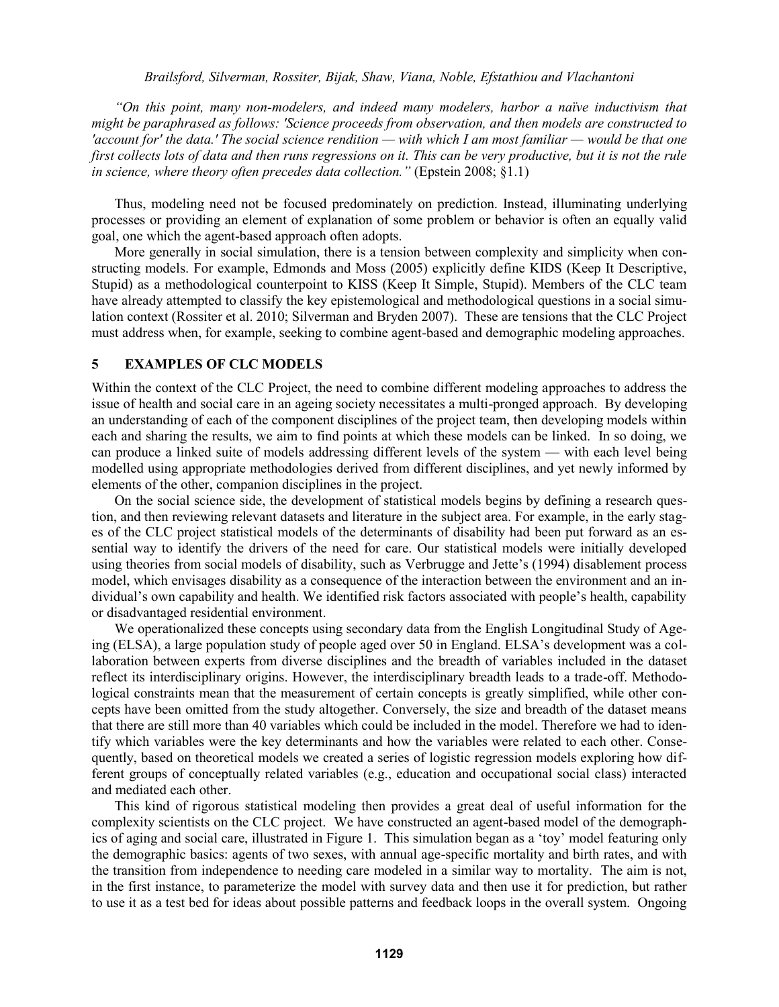*"On this point, many non-modelers, and indeed many modelers, harbor a naïve inductivism that might be paraphrased as follows: 'Science proceeds from observation, and then models are constructed to 'account for' the data.' The social science rendition — with which I am most familiar — would be that one first collects lots of data and then runs regressions on it. This can be very productive, but it is not the rule in science, where theory often precedes data collection."* (Epstein 2008; §1.1)

Thus, modeling need not be focused predominately on prediction. Instead, illuminating underlying processes or providing an element of explanation of some problem or behavior is often an equally valid goal, one which the agent-based approach often adopts.

More generally in social simulation, there is a tension between complexity and simplicity when constructing models. For example, Edmonds and Moss (2005) explicitly define KIDS (Keep It Descriptive, Stupid) as a methodological counterpoint to KISS (Keep It Simple, Stupid). Members of the CLC team have already attempted to classify the key epistemological and methodological questions in a social simulation context (Rossiter et al. 2010; Silverman and Bryden 2007). These are tensions that the CLC Project must address when, for example, seeking to combine agent-based and demographic modeling approaches.

### **5 EXAMPLES OF CLC MODELS**

Within the context of the CLC Project, the need to combine different modeling approaches to address the issue of health and social care in an ageing society necessitates a multi-pronged approach. By developing an understanding of each of the component disciplines of the project team, then developing models within each and sharing the results, we aim to find points at which these models can be linked. In so doing, we can produce a linked suite of models addressing different levels of the system — with each level being modelled using appropriate methodologies derived from different disciplines, and yet newly informed by elements of the other, companion disciplines in the project.

On the social science side, the development of statistical models begins by defining a research question, and then reviewing relevant datasets and literature in the subject area. For example, in the early stages of the CLC project statistical models of the determinants of disability had been put forward as an essential way to identify the drivers of the need for care. Our statistical models were initially developed using theories from social models of disability, such as Verbrugge and Jette's (1994) disablement process model, which envisages disability as a consequence of the interaction between the environment and an individual's own capability and health. We identified risk factors associated with people's health, capability or disadvantaged residential environment.

We operationalized these concepts using secondary data from the English Longitudinal Study of Ageing (ELSA), a large population study of people aged over 50 in England. ELSA's development was a collaboration between experts from diverse disciplines and the breadth of variables included in the dataset reflect its interdisciplinary origins. However, the interdisciplinary breadth leads to a trade-off. Methodological constraints mean that the measurement of certain concepts is greatly simplified, while other concepts have been omitted from the study altogether. Conversely, the size and breadth of the dataset means that there are still more than 40 variables which could be included in the model. Therefore we had to identify which variables were the key determinants and how the variables were related to each other. Consequently, based on theoretical models we created a series of logistic regression models exploring how different groups of conceptually related variables (e.g., education and occupational social class) interacted and mediated each other.

This kind of rigorous statistical modeling then provides a great deal of useful information for the complexity scientists on the CLC project. We have constructed an agent-based model of the demographics of aging and social care, illustrated in Figure 1. This simulation began as a 'toy' model featuring only the demographic basics: agents of two sexes, with annual age-specific mortality and birth rates, and with the transition from independence to needing care modeled in a similar way to mortality. The aim is not, in the first instance, to parameterize the model with survey data and then use it for prediction, but rather to use it as a test bed for ideas about possible patterns and feedback loops in the overall system. Ongoing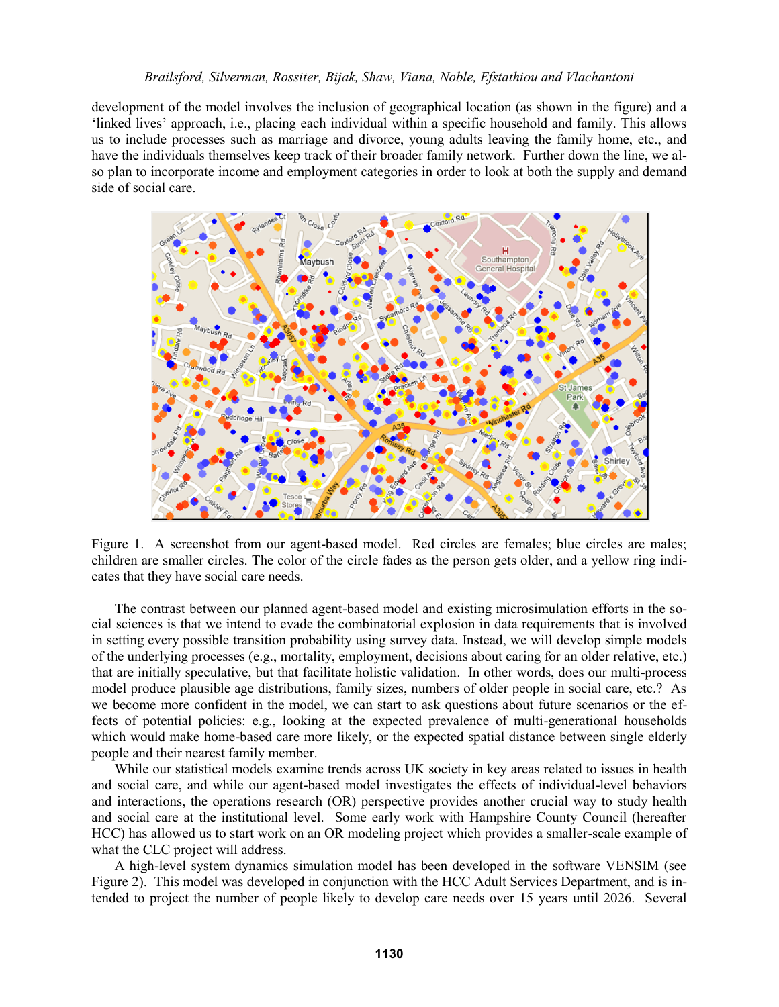development of the model involves the inclusion of geographical location (as shown in the figure) and a ‗linked lives' approach, i.e., placing each individual within a specific household and family. This allows us to include processes such as marriage and divorce, young adults leaving the family home, etc., and have the individuals themselves keep track of their broader family network. Further down the line, we also plan to incorporate income and employment categories in order to look at both the supply and demand side of social care.



Figure 1. A screenshot from our agent-based model. Red circles are females; blue circles are males; children are smaller circles. The color of the circle fades as the person gets older, and a yellow ring indicates that they have social care needs.

The contrast between our planned agent-based model and existing microsimulation efforts in the social sciences is that we intend to evade the combinatorial explosion in data requirements that is involved in setting every possible transition probability using survey data. Instead, we will develop simple models of the underlying processes (e.g., mortality, employment, decisions about caring for an older relative, etc.) that are initially speculative, but that facilitate holistic validation. In other words, does our multi-process model produce plausible age distributions, family sizes, numbers of older people in social care, etc.? As we become more confident in the model, we can start to ask questions about future scenarios or the effects of potential policies: e.g., looking at the expected prevalence of multi-generational households which would make home-based care more likely, or the expected spatial distance between single elderly people and their nearest family member.

While our statistical models examine trends across UK society in key areas related to issues in health and social care, and while our agent-based model investigates the effects of individual-level behaviors and interactions, the operations research (OR) perspective provides another crucial way to study health and social care at the institutional level. Some early work with Hampshire County Council (hereafter HCC) has allowed us to start work on an OR modeling project which provides a smaller-scale example of what the CLC project will address.

 A high-level system dynamics simulation model has been developed in the software VENSIM (see Figure 2). This model was developed in conjunction with the HCC Adult Services Department, and is intended to project the number of people likely to develop care needs over 15 years until 2026. Several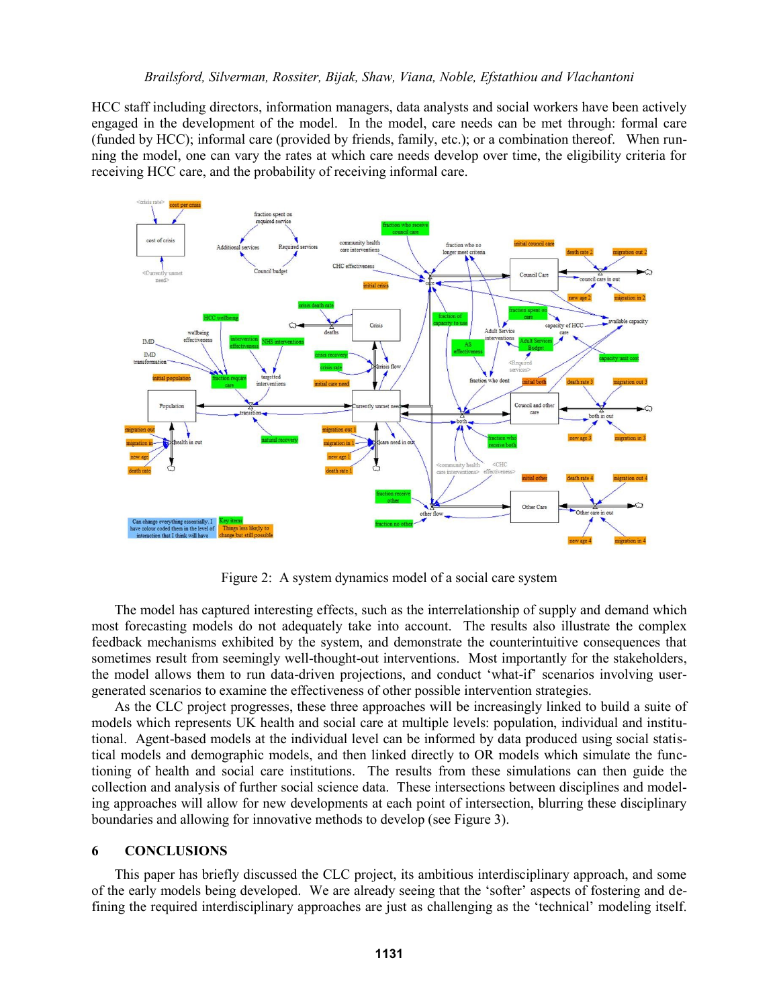HCC staff including directors, information managers, data analysts and social workers have been actively engaged in the development of the model. In the model, care needs can be met through: formal care (funded by HCC); informal care (provided by friends, family, etc.); or a combination thereof. When running the model, one can vary the rates at which care needs develop over time, the eligibility criteria for receiving HCC care, and the probability of receiving informal care.



Figure 2: A system dynamics model of a social care system

The model has captured interesting effects, such as the interrelationship of supply and demand which most forecasting models do not adequately take into account. The results also illustrate the complex feedback mechanisms exhibited by the system, and demonstrate the counterintuitive consequences that sometimes result from seemingly well-thought-out interventions. Most importantly for the stakeholders, the model allows them to run data-driven projections, and conduct 'what-if' scenarios involving usergenerated scenarios to examine the effectiveness of other possible intervention strategies.

As the CLC project progresses, these three approaches will be increasingly linked to build a suite of models which represents UK health and social care at multiple levels: population, individual and institutional. Agent-based models at the individual level can be informed by data produced using social statistical models and demographic models, and then linked directly to OR models which simulate the functioning of health and social care institutions. The results from these simulations can then guide the collection and analysis of further social science data. These intersections between disciplines and modeling approaches will allow for new developments at each point of intersection, blurring these disciplinary boundaries and allowing for innovative methods to develop (see Figure 3).

#### **6 CONCLUSIONS**

This paper has briefly discussed the CLC project, its ambitious interdisciplinary approach, and some of the early models being developed. We are already seeing that the 'softer' aspects of fostering and defining the required interdisciplinary approaches are just as challenging as the ‗technical' modeling itself.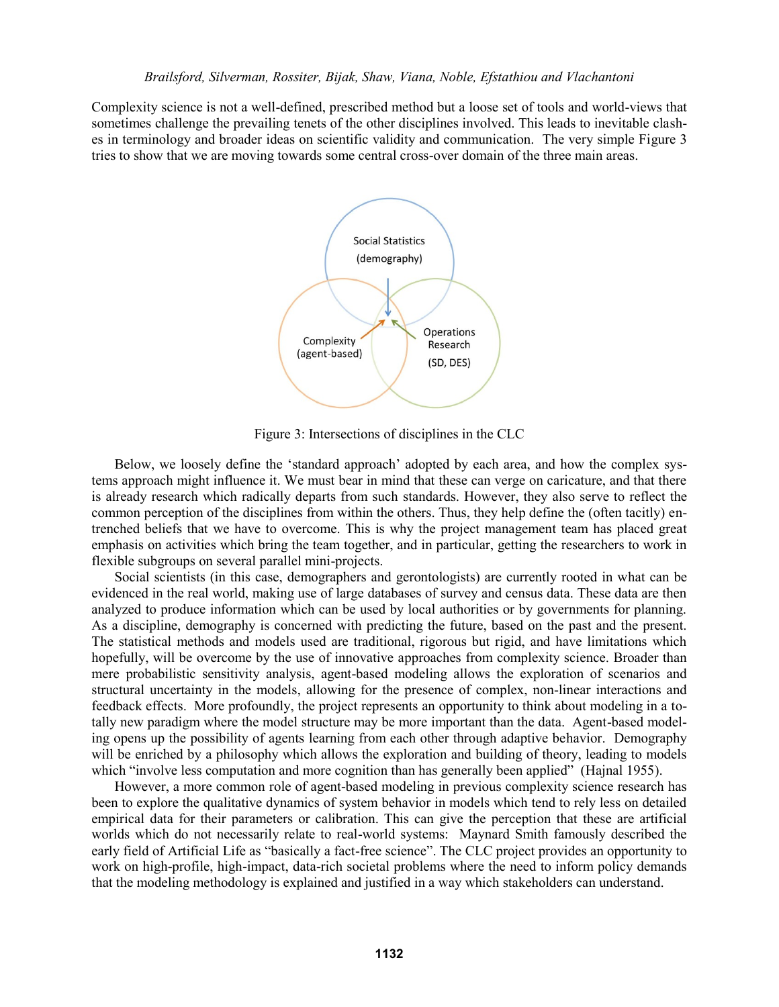Complexity science is not a well-defined, prescribed method but a loose set of tools and world-views that sometimes challenge the prevailing tenets of the other disciplines involved. This leads to inevitable clashes in terminology and broader ideas on scientific validity and communication. The very simple Figure 3 tries to show that we are moving towards some central cross-over domain of the three main areas.



Figure 3: Intersections of disciplines in the CLC

Below, we loosely define the 'standard approach' adopted by each area, and how the complex systems approach might influence it. We must bear in mind that these can verge on caricature, and that there is already research which radically departs from such standards. However, they also serve to reflect the common perception of the disciplines from within the others. Thus, they help define the (often tacitly) entrenched beliefs that we have to overcome. This is why the project management team has placed great emphasis on activities which bring the team together, and in particular, getting the researchers to work in flexible subgroups on several parallel mini-projects.

Social scientists (in this case, demographers and gerontologists) are currently rooted in what can be evidenced in the real world, making use of large databases of survey and census data. These data are then analyzed to produce information which can be used by local authorities or by governments for planning. As a discipline, demography is concerned with predicting the future, based on the past and the present. The statistical methods and models used are traditional, rigorous but rigid, and have limitations which hopefully, will be overcome by the use of innovative approaches from complexity science. Broader than mere probabilistic sensitivity analysis, agent-based modeling allows the exploration of scenarios and structural uncertainty in the models, allowing for the presence of complex, non-linear interactions and feedback effects. More profoundly, the project represents an opportunity to think about modeling in a totally new paradigm where the model structure may be more important than the data. Agent-based modeling opens up the possibility of agents learning from each other through adaptive behavior. Demography will be enriched by a philosophy which allows the exploration and building of theory, leading to models which "involve less computation and more cognition than has generally been applied" (Hajnal 1955).

However, a more common role of agent-based modeling in previous complexity science research has been to explore the qualitative dynamics of system behavior in models which tend to rely less on detailed empirical data for their parameters or calibration. This can give the perception that these are artificial worlds which do not necessarily relate to real-world systems: Maynard Smith famously described the early field of Artificial Life as "basically a fact-free science". The CLC project provides an opportunity to work on high-profile, high-impact, data-rich societal problems where the need to inform policy demands that the modeling methodology is explained and justified in a way which stakeholders can understand.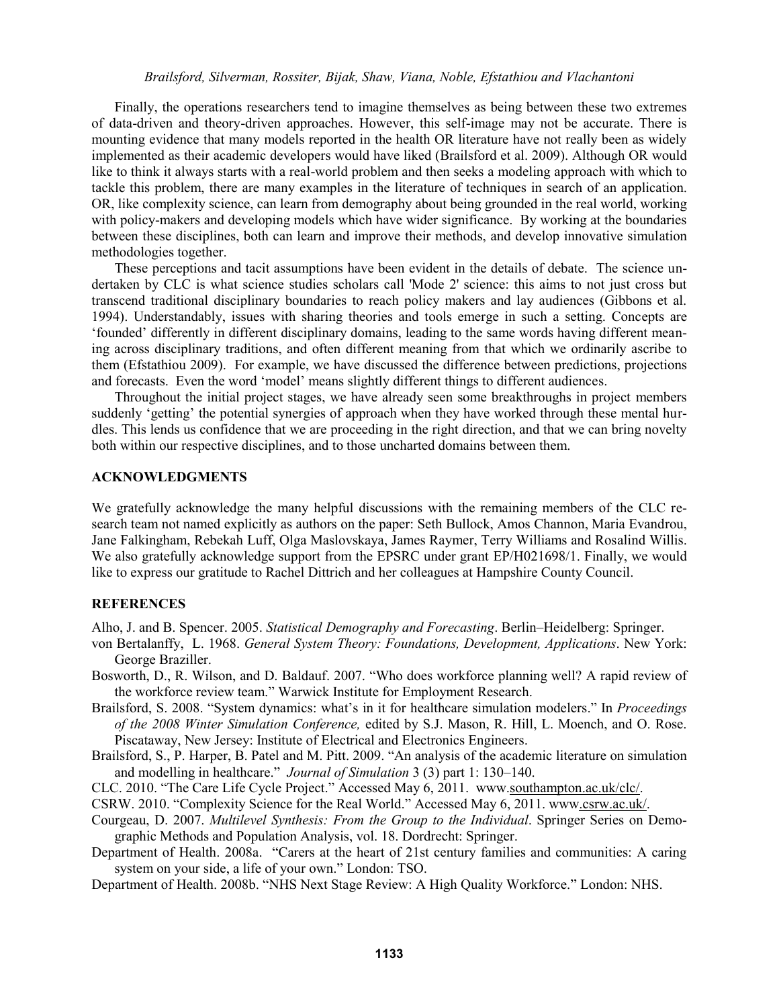Finally, the operations researchers tend to imagine themselves as being between these two extremes of data-driven and theory-driven approaches. However, this self-image may not be accurate. There is mounting evidence that many models reported in the health OR literature have not really been as widely implemented as their academic developers would have liked (Brailsford et al. 2009). Although OR would like to think it always starts with a real-world problem and then seeks a modeling approach with which to tackle this problem, there are many examples in the literature of techniques in search of an application. OR, like complexity science, can learn from demography about being grounded in the real world, working with policy-makers and developing models which have wider significance. By working at the boundaries between these disciplines, both can learn and improve their methods, and develop innovative simulation methodologies together.

These perceptions and tacit assumptions have been evident in the details of debate. The science undertaken by CLC is what science studies scholars call 'Mode 2' science: this aims to not just cross but transcend traditional disciplinary boundaries to reach policy makers and lay audiences (Gibbons et al. 1994). Understandably, issues with sharing theories and tools emerge in such a setting. Concepts are ‗founded' differently in different disciplinary domains, leading to the same words having different meaning across disciplinary traditions, and often different meaning from that which we ordinarily ascribe to them (Efstathiou 2009). For example, we have discussed the difference between predictions, projections and forecasts. Even the word 'model' means slightly different things to different audiences.

Throughout the initial project stages, we have already seen some breakthroughs in project members suddenly 'getting' the potential synergies of approach when they have worked through these mental hurdles. This lends us confidence that we are proceeding in the right direction, and that we can bring novelty both within our respective disciplines, and to those uncharted domains between them.

### **ACKNOWLEDGMENTS**

We gratefully acknowledge the many helpful discussions with the remaining members of the CLC research team not named explicitly as authors on the paper: Seth Bullock, Amos Channon, Maria Evandrou, Jane Falkingham, Rebekah Luff, Olga Maslovskaya, James Raymer, Terry Williams and Rosalind Willis. We also gratefully acknowledge support from the EPSRC under grant EP/H021698/1. Finally, we would like to express our gratitude to Rachel Dittrich and her colleagues at Hampshire County Council.

### **REFERENCES**

Alho, J. and B. Spencer. 2005. *Statistical Demography and Forecasting*. Berlin–Heidelberg: Springer.

- von Bertalanffy, L. 1968. *General System Theory: Foundations, Development, Applications*. New York: George Braziller.
- Bosworth, D., R. Wilson, and D. Baldauf. 2007. "Who does workforce planning well? A rapid review of the workforce review team." Warwick Institute for Employment Research.
- Brailsford, S. 2008. "System dynamics: what's in it for healthcare simulation modelers." In *Proceedings of the 2008 Winter Simulation Conference,* edited by S.J. Mason, R. Hill, L. Moench, and O. Rose. Piscataway, New Jersey: Institute of Electrical and Electronics Engineers.
- Brailsford, S., P. Harper, B. Patel and M. Pitt. 2009. "An analysis of the academic literature on simulation and modelling in healthcare." *Journal of Simulation* 3 (3) part 1: 130–140.

CLC. 2010. "The Care Life Cycle Project." Accessed May 6, 2011. www.southampton.ac.uk/clc/.

CSRW. 2010. "Complexity Science for the Real World." Accessed May 6, 2011. www.csrw.ac.uk/.

Courgeau, D. 2007. *Multilevel Synthesis: From the Group to the Individual*. Springer Series on Demographic Methods and Population Analysis, vol. 18. Dordrecht: Springer.

Department of Health. 2008a. "Carers at the heart of 21st century families and communities: A caring system on your side, a life of your own." London: TSO.

Department of Health. 2008b. "NHS Next Stage Review: A High Quality Workforce." London: NHS.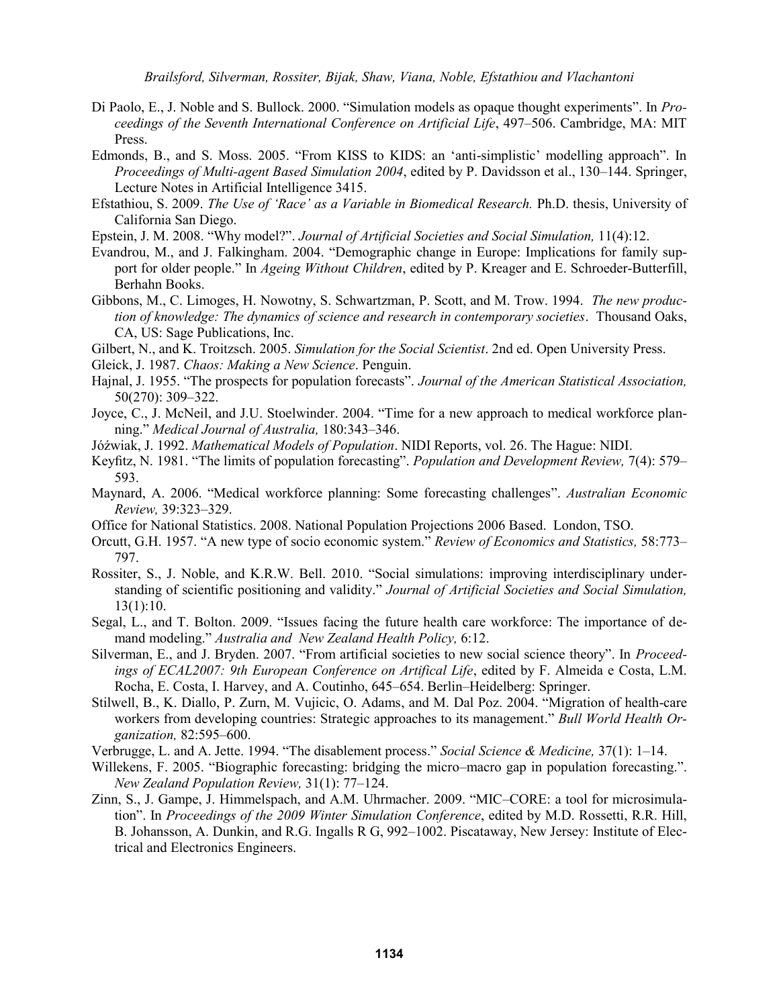- Di Paolo, E., J. Noble and S. Bullock. 2000. "Simulation models as opaque thought experiments". In *Proceedings of the Seventh International Conference on Artificial Life*, 497–506. Cambridge, MA: MIT Press.
- Edmonds, B., and S. Moss. 2005. "From KISS to KIDS: an 'anti-simplistic' modelling approach". In *Proceedings of Multi-agent Based Simulation 2004*, edited by P. Davidsson et al., 130–144. Springer, Lecture Notes in Artificial Intelligence 3415.
- Efstathiou, S. 2009. *The Use of "Race" as a Variable in Biomedical Research.* Ph.D. thesis, University of California San Diego.
- Epstein, J. M. 2008. "Why model?". *Journal of Artificial Societies and Social Simulation*, 11(4):12.
- Evandrou, M., and J. Falkingham. 2004. "Demographic change in Europe: Implications for family support for older people." In *Ageing Without Children*, edited by P. Kreager and E. Schroeder-Butterfill, Berhahn Books.
- Gibbons, M., C. Limoges, H. Nowotny, S. Schwartzman, P. Scott, and M. Trow. 1994. *The new production of knowledge: The dynamics of science and research in contemporary societies*. Thousand Oaks, CA, US: Sage Publications, Inc.
- Gilbert, N., and K. Troitzsch. 2005. *Simulation for the Social Scientist*. 2nd ed. Open University Press.
- Gleick, J. 1987. *Chaos: Making a New Science*. Penguin.
- Hajnal, J. 1955. ―The prospects for population forecasts‖. *Journal of the American Statistical Association,* 50(270): 309–322.
- Joyce, C., J. McNeil, and J.U. Stoelwinder. 2004. "Time for a new approach to medical workforce planning.‖ *Medical Journal of Australia,* 180:343–346.
- Jóźwiak, J. 1992. *Mathematical Models of Population*. NIDI Reports, vol. 26. The Hague: NIDI.
- Keyfitz, N. 1981. "The limits of population forecasting". *Population and Development Review*, 7(4): 579– 593.
- Maynard, A. 2006. "Medical workforce planning: Some forecasting challenges". *Australian Economic Review,* 39:323–329.
- Office for National Statistics. 2008. National Population Projections 2006 Based. London, TSO.
- Orcutt, G.H. 1957. "A new type of socio economic system." *Review of Economics and Statistics*, 58:773– 797.
- Rossiter, S., J. Noble, and K.R.W. Bell. 2010. "Social simulations: improving interdisciplinary understanding of scientific positioning and validity.‖ *Journal of Artificial Societies and Social Simulation,*  $13(1):10.$
- Segal, L., and T. Bolton. 2009. "Issues facing the future health care workforce: The importance of demand modeling." *Australia and New Zealand Health Policy*, 6:12.
- Silverman, E., and J. Bryden. 2007. "From artificial societies to new social science theory". In *Proceedings of ECAL2007: 9th European Conference on Artifical Life*, edited by F. Almeida e Costa, L.M. Rocha, E. Costa, I. Harvey, and A. Coutinho, 645–654. Berlin–Heidelberg: Springer.
- Stilwell, B., K. Diallo, P. Zurn, M. Vujicic, O. Adams, and M. Dal Poz. 2004. "Migration of health-care workers from developing countries: Strategic approaches to its management." *Bull World Health Organization,* 82:595–600.
- Verbrugge, L. and A. Jette. 1994. "The disablement process." *Social Science & Medicine*, 37(1): 1–14.
- Willekens, F. 2005. "Biographic forecasting: bridging the micro–macro gap in population forecasting.". *New Zealand Population Review,* 31(1): 77–124.
- Zinn, S., J. Gampe, J. Himmelspach, and A.M. Uhrmacher. 2009. "MIC–CORE: a tool for microsimulation". In *Proceedings of the 2009 Winter Simulation Conference*, edited by M.D. Rossetti, R.R. Hill, B. Johansson, A. Dunkin, and R.G. Ingalls R G, 992–1002. Piscataway, New Jersey: Institute of Electrical and Electronics Engineers.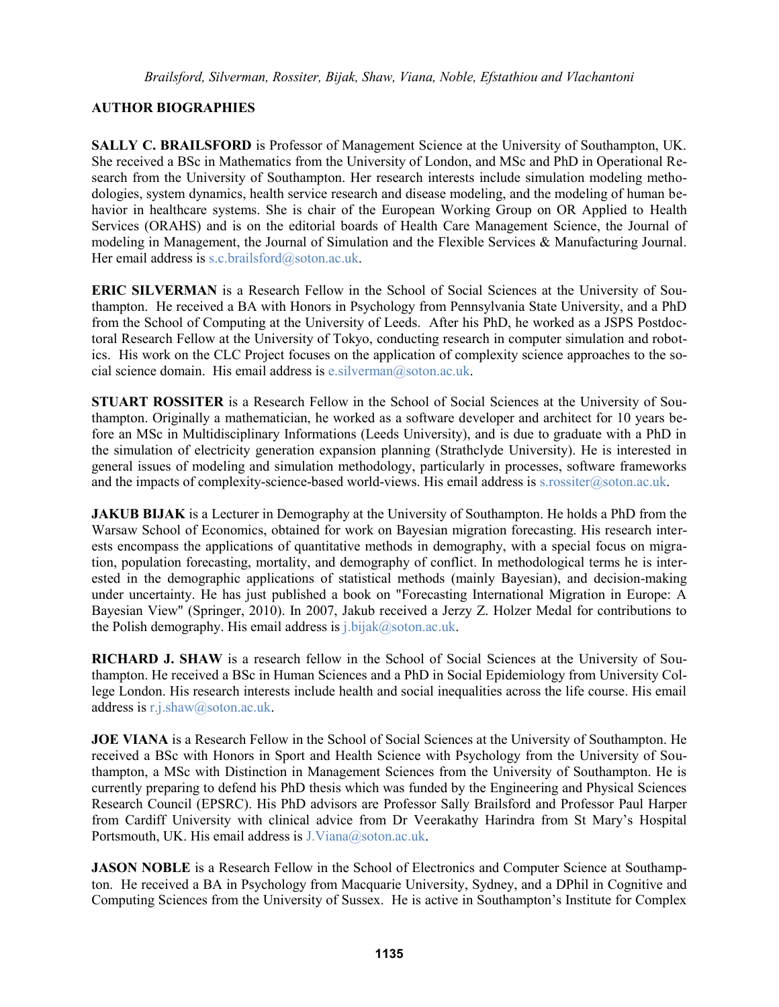# **AUTHOR BIOGRAPHIES**

**SALLY C. BRAILSFORD** is Professor of Management Science at the University of Southampton, UK. She received a BSc in Mathematics from the University of London, and MSc and PhD in Operational Research from the University of Southampton. Her research interests include simulation modeling methodologies, system dynamics, health service research and disease modeling, and the modeling of human behavior in healthcare systems. She is chair of the European Working Group on OR Applied to Health Services (ORAHS) and is on the editorial boards of Health Care Management Science, the Journal of modeling in Management, the Journal of Simulation and the Flexible Services & Manufacturing Journal. Her email address is s.c.brailsford@soton.ac.uk.

**ERIC SILVERMAN** is a Research Fellow in the School of Social Sciences at the University of Southampton. He received a BA with Honors in Psychology from Pennsylvania State University, and a PhD from the School of Computing at the University of Leeds. After his PhD, he worked as a JSPS Postdoctoral Research Fellow at the University of Tokyo, conducting research in computer simulation and robotics. His work on the CLC Project focuses on the application of complexity science approaches to the social science domain. His email address is e.silverman@soton.ac.uk.

**STUART ROSSITER** is a Research Fellow in the School of Social Sciences at the University of Southampton. Originally a mathematician, he worked as a software developer and architect for 10 years before an MSc in Multidisciplinary Informations (Leeds University), and is due to graduate with a PhD in the simulation of electricity generation expansion planning (Strathclyde University). He is interested in general issues of modeling and simulation methodology, particularly in processes, software frameworks and the impacts of complexity-science-based world-views. His email address is s.rossiter@soton.ac.uk.

**JAKUB BIJAK** is a Lecturer in Demography at the University of Southampton. He holds a PhD from the Warsaw School of Economics, obtained for work on Bayesian migration forecasting. His research interests encompass the applications of quantitative methods in demography, with a special focus on migration, population forecasting, mortality, and demography of conflict. In methodological terms he is interested in the demographic applications of statistical methods (mainly Bayesian), and decision-making under uncertainty. He has just published a book on "Forecasting International Migration in Europe: A Bayesian View" (Springer, 2010). In 2007, Jakub received a Jerzy Z. Holzer Medal for contributions to the Polish demography. His email address is  $j.bijak@soton.ac.uk$ .

**RICHARD J. SHAW** is a research fellow in the School of Social Sciences at the University of Southampton. He received a BSc in Human Sciences and a PhD in Social Epidemiology from University College London. His research interests include health and social inequalities across the life course. His email address is r.j.shaw@soton.ac.uk.

**JOE VIANA** is a Research Fellow in the School of Social Sciences at the University of Southampton. He received a BSc with Honors in Sport and Health Science with Psychology from the University of Southampton, a MSc with Distinction in Management Sciences from the University of Southampton. He is currently preparing to defend his PhD thesis which was funded by the Engineering and Physical Sciences Research Council (EPSRC). His PhD advisors are Professor Sally Brailsford and Professor Paul Harper from Cardiff University with clinical advice from Dr Veerakathy Harindra from St Mary's Hospital Portsmouth, UK. His email address is J.Viana@soton.ac.uk.

**JASON NOBLE** is a Research Fellow in the School of Electronics and Computer Science at Southampton. He received a BA in Psychology from Macquarie University, Sydney, and a DPhil in Cognitive and Computing Sciences from the University of Sussex. He is active in Southampton's Institute for Complex